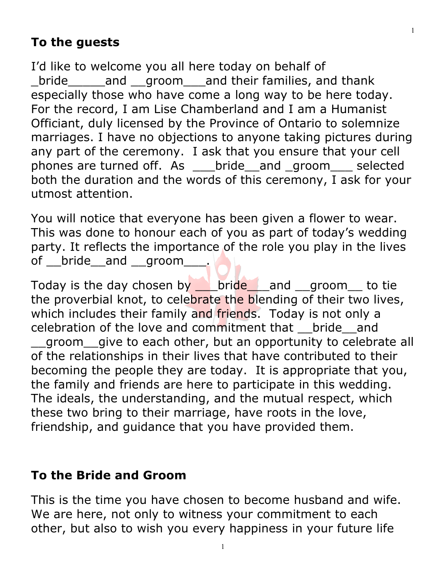# **To the guests**

I'd like to welcome you all here today on behalf of \_bride\_\_\_\_\_and \_\_groom\_\_\_and their families, and thank especially those who have come a long way to be here today. For the record, I am Lise Chamberland and I am a Humanist Officiant, duly licensed by the Province of Ontario to solemnize marriages. I have no objections to anyone taking pictures during any part of the ceremony. I ask that you ensure that your cell phones are turned off. As \_\_\_bride\_\_and \_groom\_\_\_ selected both the duration and the words of this ceremony, I ask for your utmost attention.

You will notice that everyone has been given a flower to wear. This was done to honour each of you as part of today's wedding party. It reflects the importance of the role you play in the lives of \_\_bride\_\_and \_\_groom\_\_\_\_.

Today is the day chosen by **Dride** and groom to tie the proverbial knot, to celebrate the blending of their two lives, which includes their family and friends. Today is not only a celebration of the love and commitment that \_\_bride\_\_and groom give to each other, but an opportunity to celebrate all of the relationships in their lives that have contributed to their becoming the people they are today. It is appropriate that you, the family and friends are here to participate in this wedding. The ideals, the understanding, and the mutual respect, which these two bring to their marriage, have roots in the love, friendship, and guidance that you have provided them.

### **To the Bride and Groom**

This is the time you have chosen to become husband and wife. We are here, not only to witness your commitment to each other, but also to wish you every happiness in your future life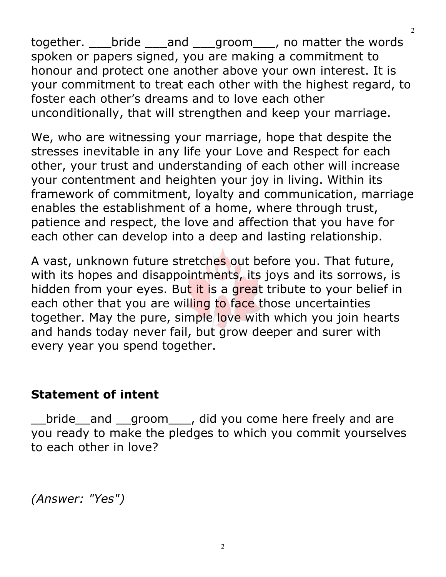together. \_\_\_bride \_\_\_and \_\_\_groom\_\_\_, no matter the words spoken or papers signed, you are making a commitment to honour and protect one another above your own interest. It is your commitment to treat each other with the highest regard, to foster each other's dreams and to love each other unconditionally, that will strengthen and keep your marriage.

We, who are witnessing your marriage, hope that despite the stresses inevitable in any life your Love and Respect for each other, your trust and understanding of each other will increase your contentment and heighten your joy in living. Within its framework of commitment, loyalty and communication, marriage enables the establishment of a home, where through trust, patience and respect, the love and affection that you have for each other can develop into a deep and lasting relationship.

A vast, unknown future stretches out before you. That future, with its hopes and disappointments, its joys and its sorrows, is hidden from your eyes. But it is a great tribute to your belief in each other that you are willing to face those uncertainties together. May the pure, simple love with which you join hearts and hands today never fail, but grow deeper and surer with every year you spend together.

### **Statement of intent**

bride and groom is did you come here freely and are you ready to make the pledges to which you commit yourselves to each other in love?

*(Answer: "Yes")*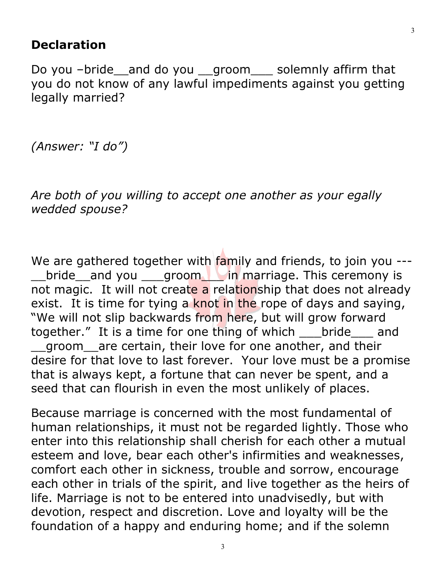### **Declaration**

Do you –bride\_\_and do you \_\_groom\_\_\_ solemnly affirm that you do not know of any lawful impediments against you getting legally married?

*(Answer: "I do")* 

*Are both of you willing to accept one another as your egally wedded spouse?* 

We are gathered together with family and friends, to join you ---\_\_bride\_\_and you \_\_\_groom\_\_\_ in marriage. This ceremony is not magic. It will not create a relationship that does not already exist. It is time for tying a knot in the rope of days and saying, "We will not slip backwards from here, but will grow forward together." It is a time for one thing of which \_\_\_bride \_\_\_ and \_\_groom\_\_are certain, their love for one another, and their desire for that love to last forever. Your love must be a promise that is always kept, a fortune that can never be spent, and a seed that can flourish in even the most unlikely of places.

Because marriage is concerned with the most fundamental of human relationships, it must not be regarded lightly. Those who enter into this relationship shall cherish for each other a mutual esteem and love, bear each other's infirmities and weaknesses, comfort each other in sickness, trouble and sorrow, encourage each other in trials of the spirit, and live together as the heirs of life. Marriage is not to be entered into unadvisedly, but with devotion, respect and discretion. Love and loyalty will be the foundation of a happy and enduring home; and if the solemn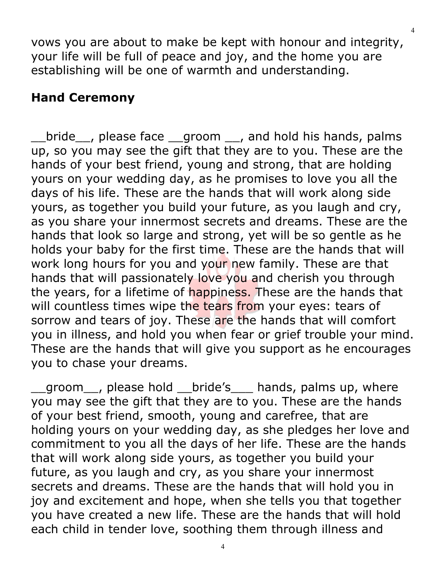vows you are about to make be kept with honour and integrity, your life will be full of peace and joy, and the home you are establishing will be one of warmth and understanding.

### **Hand Ceremony**

bride , please face groom , and hold his hands, palms up, so you may see the gift that they are to you. These are the hands of your best friend, young and strong, that are holding yours on your wedding day, as he promises to love you all the days of his life. These are the hands that will work along side yours, as together you build your future, as you laugh and cry, as you share your innermost secrets and dreams. These are the hands that look so large and strong, yet will be so gentle as he holds your baby for the first time. These are the hands that will work long hours for you and your new family. These are that hands that will passionately love you and cherish you through the years, for a lifetime of happiness. These are the hands that will countless times wipe the tears from your eyes: tears of sorrow and tears of joy. These are the hands that will comfort you in illness, and hold you when fear or grief trouble your mind. These are the hands that will give you support as he encourages you to chase your dreams.

\_\_groom\_\_, please hold \_\_bride's\_\_\_ hands, palms up, where you may see the gift that they are to you. These are the hands of your best friend, smooth, young and carefree, that are holding yours on your wedding day, as she pledges her love and commitment to you all the days of her life. These are the hands that will work along side yours, as together you build your future, as you laugh and cry, as you share your innermost secrets and dreams. These are the hands that will hold you in joy and excitement and hope, when she tells you that together you have created a new life. These are the hands that will hold each child in tender love, soothing them through illness and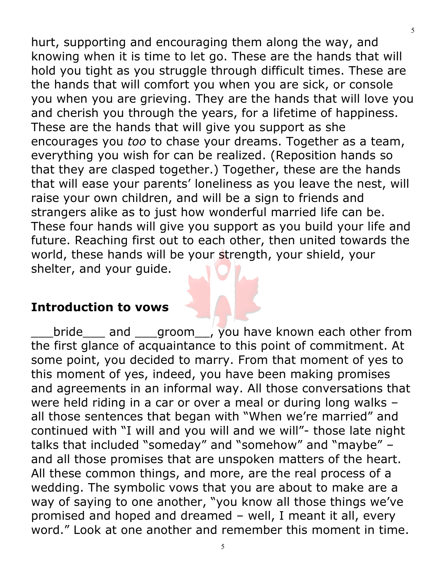hurt, supporting and encouraging them along the way, and knowing when it is time to let go. These are the hands that will hold you tight as you struggle through difficult times. These are the hands that will comfort you when you are sick, or console you when you are grieving. They are the hands that will love you and cherish you through the years, for a lifetime of happiness. These are the hands that will give you support as she encourages you *too* to chase your dreams. Together as a team, everything you wish for can be realized. (Reposition hands so that they are clasped together.) Together, these are the hands that will ease your parents' loneliness as you leave the nest, will raise your own children, and will be a sign to friends and strangers alike as to just how wonderful married life can be. These four hands will give you support as you build your life and future. Reaching first out to each other, then united towards the world, these hands will be your strength, your shield, your shelter, and your guide.

#### **Introduction to vows**

bride and groom, you have known each other from the first glance of acquaintance to this point of commitment. At some point, you decided to marry. From that moment of yes to this moment of yes, indeed, you have been making promises and agreements in an informal way. All those conversations that were held riding in a car or over a meal or during long walks – all those sentences that began with "When we're married" and continued with "I will and you will and we will"- those late night talks that included "someday" and "somehow" and "maybe" – and all those promises that are unspoken matters of the heart. All these common things, and more, are the real process of a wedding. The symbolic vows that you are about to make are a way of saying to one another, "you know all those things we've promised and hoped and dreamed – well, I meant it all, every word." Look at one another and remember this moment in time.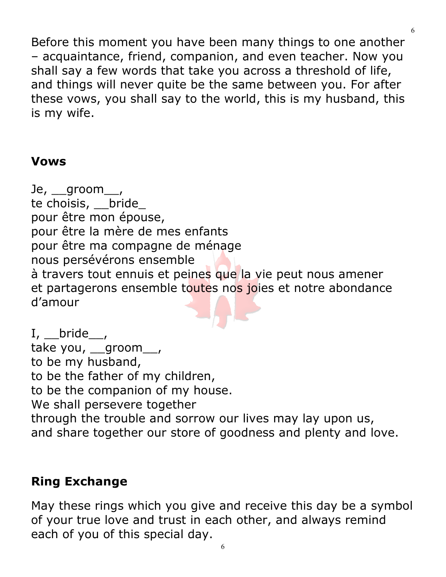Before this moment you have been many things to one another – acquaintance, friend, companion, and even teacher. Now you shall say a few words that take you across a threshold of life, and things will never quite be the same between you. For after these vows, you shall say to the world, this is my husband, this is my wife.

## **Vows**

Je, groom, te choisis, \_\_bride\_ pour être mon épouse, pour être la mère de mes enfants pour être ma compagne de ménage nous persévérons ensemble à travers tout ennuis et peines que la vie peut nous amener et partagerons ensemble toutes nos joies et notre abondance d'amour

 $I, \underline{\hspace{1cm}}$ bride $\_\_$ take you, \_groom\_, to be my husband, to be the father of my children, to be the companion of my house. We shall persevere together through the trouble and sorrow our lives may lay upon us, and share together our store of goodness and plenty and love.

## **Ring Exchange**

May these rings which you give and receive this day be a symbol of your true love and trust in each other, and always remind each of you of this special day.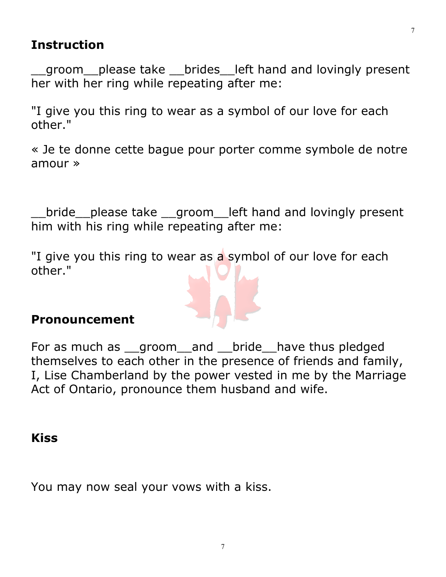### **Instruction**

\_\_groom\_\_please take \_\_brides\_\_left hand and lovingly present her with her ring while repeating after me:

"I give you this ring to wear as a symbol of our love for each other."

« Je te donne cette bague pour porter comme symbole de notre amour »

bride please take groom left hand and lovingly present him with his ring while repeating after me:

"I give you this ring to wear as a symbol of our love for each other."

### **Pronouncement**

For as much as \_\_groom\_\_and \_\_bride\_\_have thus pledged themselves to each other in the presence of friends and family, I, Lise Chamberland by the power vested in me by the Marriage Act of Ontario, pronounce them husband and wife.

#### **Kiss**

You may now seal your vows with a kiss.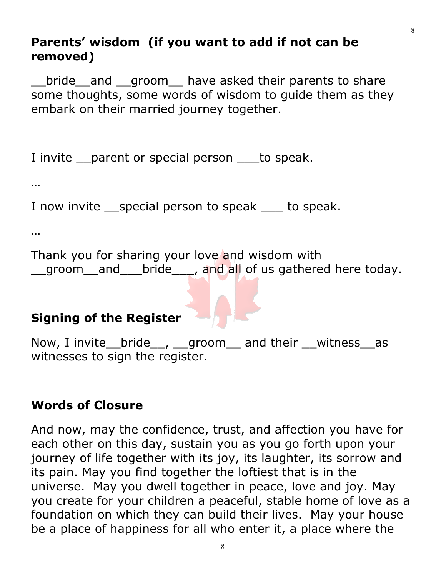## **Parents' wisdom (if you want to add if not can be removed)**

bride and groom have asked their parents to share some thoughts, some words of wisdom to guide them as they embark on their married journey together.

I invite parent or special person to speak.

…

I now invite special person to speak to speak.

…

Thank you for sharing your love and wisdom with groom and bride , and all of us gathered here today.

# **Signing of the Register**

Now, I invite bride , groom and their witness as witnesses to sign the register.

## **Words of Closure**

And now, may the confidence, trust, and affection you have for each other on this day, sustain you as you go forth upon your journey of life together with its joy, its laughter, its sorrow and its pain. May you find together the loftiest that is in the universe. May you dwell together in peace, love and joy. May you create for your children a peaceful, stable home of love as a foundation on which they can build their lives. May your house be a place of happiness for all who enter it, a place where the